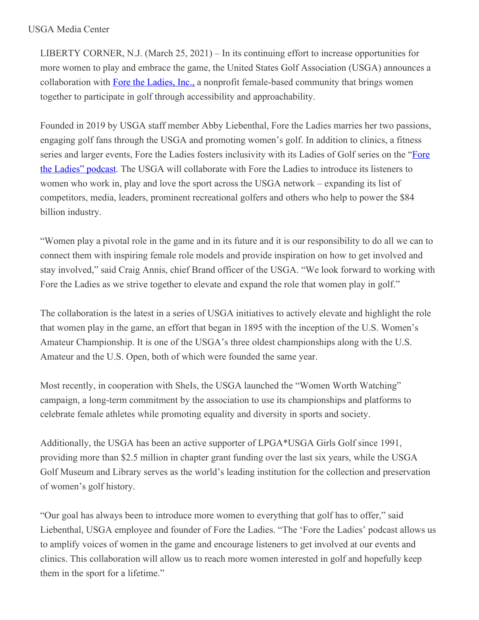## USGA Media Center

LIBERTY CORNER, N.J. (March 25, 2021) – In its continuing effort to increase opportunities for more women to play and embrace the game, the United States Golf Association (USGA) announces a collaboration with Fore the [Ladies,](https://nam12.safelinks.protection.outlook.com/?url=https%3A%2F%2Fu7061146.ct.sendgrid.net%2Fls%2Fclick%3Fupn%3D4tNED-2FM8iDZJQyQ53jATUY9KlNDrVqCjhNm3oK6A2kMpbrs84a4NV0bXUdAhvc9QwSYS_HSsC7-2BnYo6RFmdvmB8WxSwPfE5OKbL5GHwHc1Y4nlbPPqAUA09MWw0ZqmlBCIWIpsv6oZVFU-2BFpp-2ByIjJmvSNKsaAR1yxeSYJgo3oAoGzGvqQs77OnxwQ3J1hd-2B8P0IzUlOeSwtHL0Vz3KOKiHIG-2BtYsNyZ3eLl8e3-2FJwu2mxZmPe5pHNr5exvD3k5JSrNV2SZJ0wXR47YU0FFW0AtPMAzgfuT0tzn8yfEUj3mSRoWWk5kYidLKBPCxqgmRXcKhzrb2p28e7lUHeQhZCE5484UpjZq-2FHPiBU2CoriR1Dbt9lv4zbLLFGaZXDvjMC8pLoiHUjdOptP-2Bbv4JNPGgDvrjhZRpigAy-2BYEPX-2FOC5n-2FRw-3D&data=04%7C01%7Cjgeske%40usga.org%7Ce6447df42b6e409ea8ec08d8efb78ba0%7C17abf7083a064391bdbd06808d1b9f81%7C0%7C0%7C637522918920413749%7CUnknown%7CTWFpbGZsb3d8eyJWIjoiMC4wLjAwMDAiLCJQIjoiV2luMzIiLCJBTiI6Ik1haWwiLCJXVCI6Mn0%3D%7C1000&sdata=Qe%2Bw5Qey5Mxy3%2FI4OBZxKm5O10zmDIeicq4HT9ihmDA%3D&reserved=0) Inc., a nonprofit female-based community that brings women together to participate in golf through accessibility and approachability.

Founded in 2019 by USGA staff member Abby Liebenthal, Fore the Ladies marries her two passions, engaging golf fans through the USGA and promoting women's golf. In addition to clinics, a fitness series and larger events, Fore the Ladies fosters inclusivity with its Ladies of Golf series on the "Fore" the Ladies" podcast. The USGA will [collaborate](https://nam12.safelinks.protection.outlook.com/?url=https%3A%2F%2Fu7061146.ct.sendgrid.net%2Fls%2Fclick%3Fupn%3D4tNED-2FM8iDZJQyQ53jATUaRg-2BfFBkaPTzEn71ZgpKGEEEDTSHkiMienzb2u0SPQKa-2BYaS0kPFOkRiEbDu-2BwHzRm23ZNw4vKjp4zF4qxNSQzMnqRMwAHPqEBrGvZYvUOiqDrft3Vs3wD3-2B56-2FsGtO36YJ-2BwH-2B4FciEZWqG0JjqII4p20Y532ampUcOREJHkC4WhtWc1KZ7s1jXFtFcpJXnhFvM8-2BemabMnotUID9BbuE7hUm7Uh0uGIerepBwrZxA9qk-2F4FrITT9Lt1lB2yIYVpCoz-2B61pgPQJxvW6k1S9Pwu2hJ2bXAffm4jsPYNbBxQ-2F926WLBZurXJQgixKhwref1kJC7LtA0gKIca6udl0wvhjEo2FR1rw4kKAHSmQBbDgcgkjFzR8C7Pu2yLx68FAr9ULV9hAd40nPcpHjE95YI43-2FJUAc-2F6d08mwQJ-2BHnWk3FIITg0lygPUo3bHubwXTZHzUJ9KCEOIpnEMGOvqHPyKf-2B7y67kwyWgo6bX7gYn9miOOZcFHsqceBeDe0pvLK4iTHMfIw58uv9b09FP7H3wmV-2Bgmft4yBOBeK4ZSOrYT6CQodfRKFRIl94JvAEPgvQ-3D-3D798c_HSsC7-2BnYo6RFmdvmB8WxSwPfE5OKbL5GHwHc1Y4nlbPPqAUA09MWw0ZqmlBCIWIpsv6oZVFU-2BFpp-2ByIjJmvSNKsaAR1yxeSYJgo3oAoGzGvqQs77OnxwQ3J1hd-2B8P0IzUlOeSwtHL0Vz3KOKiHIG-2BtYsNyZ3eLl8e3-2FJwu2mxZmPe5pHNr5exvD3k5JSrNV2ZDnOHSEuZ7ZxkDpZPrfRnFdB6b25lJ3k5W-2FH-2FdRPMmG5rrwVqjv3xPN-2BjyyLmtat6Hm4pRSa2atTN2gL1EuAfvZnp-2BmFLwNewV2uc-2FSQtL7mbl3XFuAk5dKTdArTvVAWtnsyqeDXENfTQPDyPcizNHUD8Rh418x51z4mjpEEsJU-3D&data=04%7C01%7Cjgeske%40usga.org%7Ce6447df42b6e409ea8ec08d8efb78ba0%7C17abf7083a064391bdbd06808d1b9f81%7C0%7C0%7C637522918920413749%7CUnknown%7CTWFpbGZsb3d8eyJWIjoiMC4wLjAwMDAiLCJQIjoiV2luMzIiLCJBTiI6Ik1haWwiLCJXVCI6Mn0%3D%7C1000&sdata=SlsxhKCedfV4Tcblf7rjVLVTCy7Db8F2Smj9plu5ll4%3D&reserved=0) with Fore the Ladies to introduce its listeners to women who work in, play and love the sport across the USGA network – expanding its list of competitors, media, leaders, prominent recreational golfers and others who help to power the \$84 billion industry.

"Women play a pivotal role in the game and in its future and it is our responsibility to do all we can to connect them with inspiring female role models and provide inspiration on how to get involved and stay involved," said Craig Annis, chief Brand officer of the USGA. "We look forward to working with Fore the Ladies as we strive together to elevate and expand the role that women play in golf."

The collaboration is the latest in a series of USGA initiatives to actively elevate and highlight the role that women play in the game, an effort that began in 1895 with the inception of the U.S. Women's Amateur Championship. It is one of the USGA's three oldest championships along with the U.S. Amateur and the U.S. Open, both of which were founded the same year.

Most recently, in cooperation with SheIs, the USGA launched the "Women Worth Watching" campaign, a long-term commitment by the association to use its championships and platforms to celebrate female athletes while promoting equality and diversity in sports and society.

Additionally, the USGA has been an active supporter of LPGA\*USGA Girls Golf since 1991, providing more than \$2.5 million in chapter grant funding over the last six years, while the USGA Golf Museum and Library serves as the world's leading institution for the collection and preservation of women's golf history.

"Our goal has always been to introduce more women to everything that golf has to offer," said Liebenthal, USGA employee and founder of Fore the Ladies. "The 'Fore the Ladies' podcast allows us to amplify voices of women in the game and encourage listeners to get involved at our events and clinics. This collaboration will allow us to reach more women interested in golf and hopefully keep them in the sport for a lifetime."